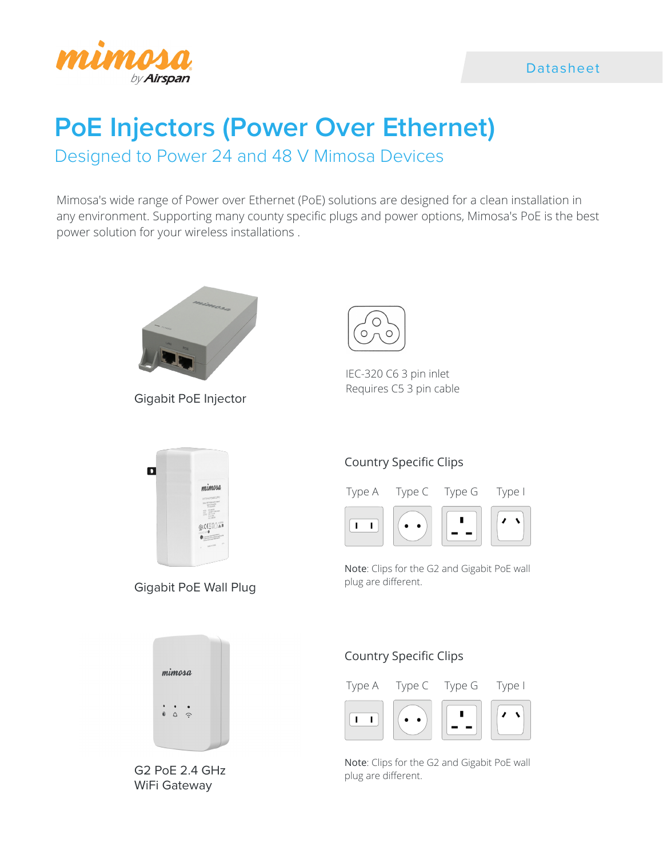

### Datasheet

# **PoE Injectors (Power Over Ethernet)**

Designed to Power 24 and 48 V Mimosa Devices

Mimosa's wide range of Power over Ethernet (PoE) solutions are designed for a clean installation in any environment. Supporting many county specific plugs and power options, Mimosa's PoE is the best power solution for your wireless installations .



Gigabit PoE Injector



IEC-320 C6 3 pin inlet Requires C5 3 pin cable



Gigabit PoE Wall Plug

# Country Specific Clips



Note: Clips for the G2 and Gigabit PoE wall plug are different.



G2 PoE 2.4 GHz WiFi Gateway

# Country Specific Clips



Note: Clips for the G2 and Gigabit PoE wall plug are different.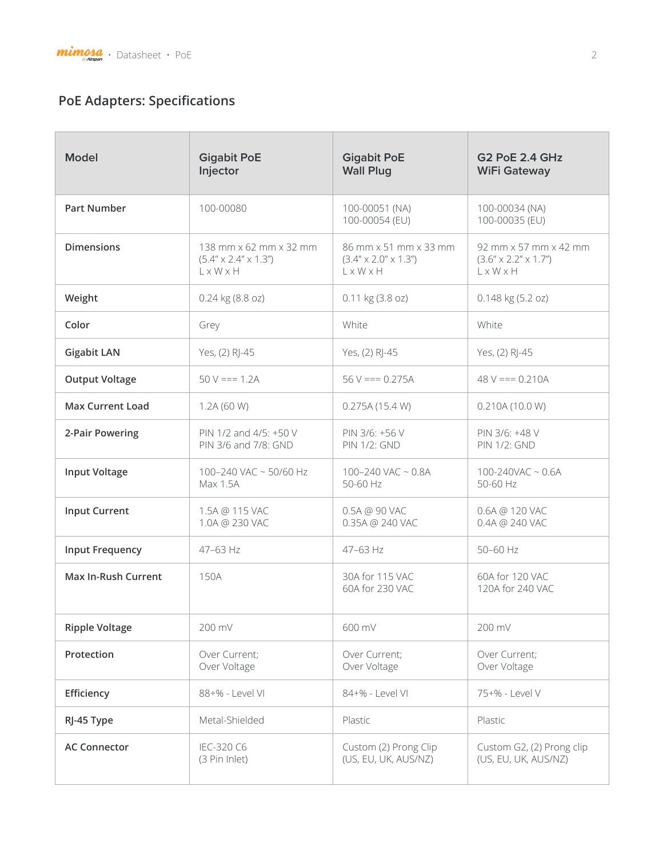# **PoE Adapters: Specifications**

| <b>Model</b>           | <b>Gigabit PoE</b><br>Injector                                                         | <b>Gigabit PoE</b><br><b>Wall Plug</b>                                                | <b>G2 PoE 2.4 GHz</b><br><b>WiFi Gateway</b>                          |
|------------------------|----------------------------------------------------------------------------------------|---------------------------------------------------------------------------------------|-----------------------------------------------------------------------|
| <b>Part Number</b>     | 100-00080                                                                              | 100-00051 (NA)<br>100-00054 (EU)                                                      | 100-00034 (NA)<br>100-00035 (EU)                                      |
| <b>Dimensions</b>      | 138 mm x 62 mm x 32 mm<br>$(5.4'' \times 2.4'' \times 1.3'')$<br>$L \times W \times H$ | 86 mm x 51 mm x 33 mm<br>$(3.4'' \times 2.0'' \times 1.3'')$<br>$L \times W \times H$ | 92 mm x 57 mm x 42 mm<br>$(3.6'' \times 2.2'' \times 1.7'')$<br>LxWxH |
| Weight                 | 0.24 kg (8.8 oz)                                                                       | 0.11 kg (3.8 oz)                                                                      | 0.148 kg (5.2 oz)                                                     |
| Color                  | Grey                                                                                   | White                                                                                 | White                                                                 |
| <b>Gigabit LAN</b>     | Yes, (2) RJ-45                                                                         | Yes, (2) RJ-45                                                                        | Yes, (2) RJ-45                                                        |
| <b>Output Voltage</b>  | $50 V == 1.2A$                                                                         | $56 V == 0.275A$                                                                      | $48 V == 0.210A$                                                      |
| Max Current Load       | 1.2A (60 W)                                                                            | 0.275A(15.4 W)                                                                        | 0.210A(10.0 W)                                                        |
| 2-Pair Powering        | PIN 1/2 and 4/5: +50 V<br>PIN 3/6 and 7/8: GND                                         | PIN 3/6: +56 V<br><b>PIN 1/2: GND</b>                                                 | PIN 3/6: +48 V<br><b>PIN 1/2: GND</b>                                 |
| <b>Input Voltage</b>   | 100-240 VAC ~ 50/60 Hz<br>Max 1.5A                                                     | 100-240 VAC $\sim$ 0.8A<br>50-60 Hz                                                   | $100 - 240$ VAC ~ $0.6A$<br>50-60 Hz                                  |
| <b>Input Current</b>   | 1.5A @ 115 VAC<br>1.0A @ 230 VAC                                                       | 0.5A @ 90 VAC<br>0.35A @ 240 VAC                                                      | 0.6A @ 120 VAC<br>0.4A @ 240 VAC                                      |
| <b>Input Frequency</b> | $47 - 63$ Hz                                                                           | 47-63 Hz                                                                              | 50-60 Hz                                                              |
| Max In-Rush Current    | 150A                                                                                   | 30A for 115 VAC<br>60A for 230 VAC                                                    | 60A for 120 VAC<br>120A for 240 VAC                                   |
| <b>Ripple Voltage</b>  | 200 mV                                                                                 | 600 mV                                                                                | 200 mV                                                                |
| Protection             | Over Current;<br>Over Voltage                                                          | Over Current;<br>Over Voltage                                                         | Over Current;<br>Over Voltage                                         |
| Efficiency             | 88+% - Level VI                                                                        | 84+% - Level VI                                                                       | 75+% - Level V                                                        |
| RJ-45 Type             | Metal-Shielded                                                                         | Plastic                                                                               | Plastic                                                               |
| <b>AC Connector</b>    | IEC-320 C6<br>(3 Pin Inlet)                                                            | Custom (2) Prong Clip<br>(US, EU, UK, AUS/NZ)                                         | Custom G2, (2) Prong clip<br>(US, EU, UK, AUS/NZ)                     |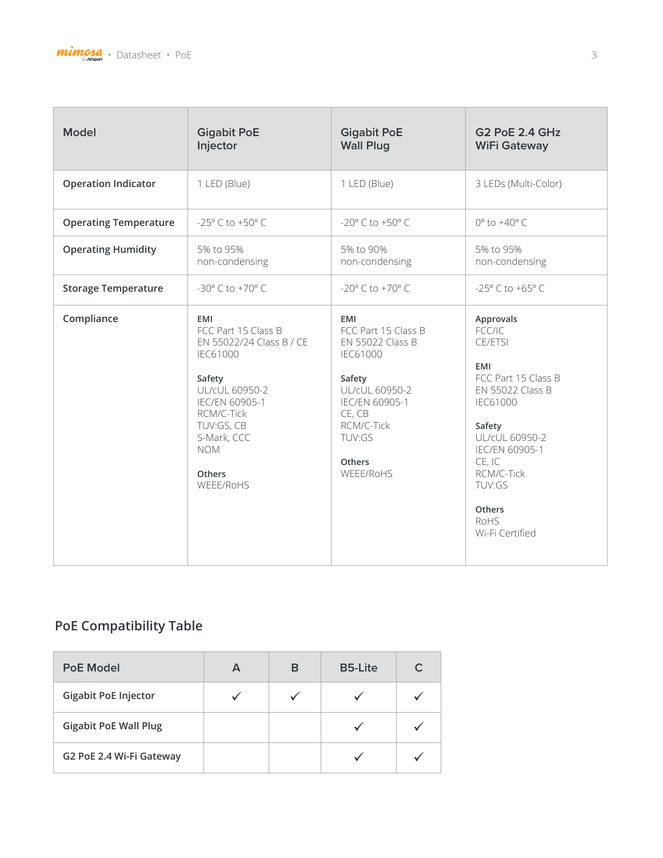

| <b>Model</b>                 | <b>Gigabit PoE</b><br>Injector                                                                                                                                                                          | <b>Gigabit PoE</b><br><b>Wall Plug</b>                                                                                                                                                 | <b>G2 PoE 2.4 GHz</b><br><b>WiFi Gateway</b>                                                                                                                                                                                           |
|------------------------------|---------------------------------------------------------------------------------------------------------------------------------------------------------------------------------------------------------|----------------------------------------------------------------------------------------------------------------------------------------------------------------------------------------|----------------------------------------------------------------------------------------------------------------------------------------------------------------------------------------------------------------------------------------|
| <b>Operation Indicator</b>   | 1 LED (Blue)                                                                                                                                                                                            | 1 LED (Blue)                                                                                                                                                                           | 3 LEDs (Multi-Color)                                                                                                                                                                                                                   |
| <b>Operating Temperature</b> | -25° C to +50° C                                                                                                                                                                                        | $-20^{\circ}$ C to $+50^{\circ}$ C                                                                                                                                                     | $0^\circ$ to $+40^\circ$ C                                                                                                                                                                                                             |
| <b>Operating Humidity</b>    | 5% to 95%<br>non-condensing                                                                                                                                                                             | 5% to 90%<br>non-condensing                                                                                                                                                            | 5% to 95%<br>non-condensing                                                                                                                                                                                                            |
| <b>Storage Temperature</b>   | $-30^{\circ}$ C to $+70^{\circ}$ C                                                                                                                                                                      | $-20^{\circ}$ C to $+70^{\circ}$ C                                                                                                                                                     | -25° C to +65° C                                                                                                                                                                                                                       |
| Compliance                   | EMI<br>FCC Part 15 Class B<br>EN 55022/24 Class B / CE<br>IEC61000<br>Safety<br>UL/cUL 60950-2<br>IEC/EN 60905-1<br>RCM/C-Tick<br>TUV:GS, CB<br>S-Mark, CCC<br><b>NOM</b><br><b>Others</b><br>WEEE/RoHS | EMI<br>FCC Part 15 Class B<br><b>EN 55022 Class B</b><br><b>IEC61000</b><br>Safety<br>UL/cUL 60950-2<br>IEC/EN 60905-1<br>CE, CB<br>RCM/C-Tick<br>TUV:GS<br><b>Others</b><br>WEEE/RoHS | Approvals<br>FCC/IC<br>CE/ETSI<br><b>EMI</b><br>FCC Part 15 Class B<br>EN 55022 Class B<br><b>IEC61000</b><br>Safety<br>UL/cUL 60950-2<br>IEC/EN 60905-1<br>CE, IC<br>RCM/C-Tick<br>TUV:GS<br><b>Others</b><br>RoHS<br>Wi-Fi Certified |

# **PoE Compatibility Table**

| <b>PoE Model</b>             | A | в | <b>B5-Lite</b> | C |
|------------------------------|---|---|----------------|---|
| <b>Gigabit PoE Injector</b>  |   |   |                |   |
| <b>Gigabit PoE Wall Plug</b> |   |   |                |   |
| G2 PoE 2.4 Wi-Fi Gateway     |   |   |                |   |